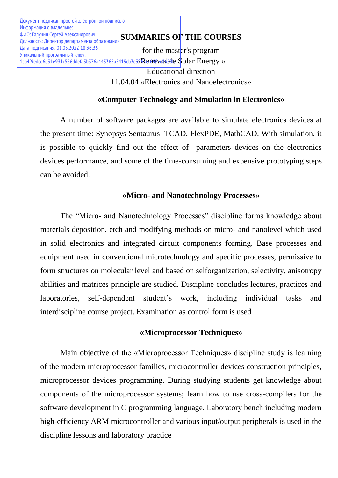**SUMMARIES OF THE COURSES** ФИО: Галунин Сергей Александрович for the master's program 1cb4f9edcd6d31e931c556ddefa3b376a443365a5419cb3e39Renewable \$olar Energy » Educational direction 11.04.04 «Electronics and Nanoelectronics» Документ подписан простой электронной подписью Информация о владельце: Должность: Директор департамента образования Дата подписания: 01.03.2022 18:36:36 Уникальный программный ключ:

## **«Computer Technology and Simulation in Electronics»**

A number of software packages are available to simulate electronics devices at the present time: Synopsys Sentaurus TCAD, FlexPDE, MathCAD. With simulation, it is possible to quickly find out the effect of parameters devices on the electronics devices performance, and some of the time-consuming and expensive prototyping steps can be avoided.

### **«Micro- and Nanotechnology Processes»**

The "Micro- and Nanotechnology Processes" discipline forms knowledge about materials deposition, etch and modifying methods on micro- and nanolevel which used in solid electronics and integrated circuit components forming. Base processes and equipment used in conventional microtechnology and specific processes, permissive to form structures on molecular level and based on selforganization, selectivity, anisotropy abilities and matrices principle are studied. Discipline concludes lectures, practices and laboratories, self-dependent student's work, including individual tasks and interdiscipline course project. Examination as control form is used

#### **«Microprocessor Techniques»**

Main objective of the «Microprocessor Techniques» discipline study is learning of the modern microprocessor families, microcontroller devices construction principles, microprocessor devices programming. During studying students get knowledge about components of the microprocessor systems; learn how to use cross-compilers for the software development in C programming language. Laboratory bench including modern high-efficiency ARM microcontroller and various input/output peripherals is used in the discipline lessons and laboratory practice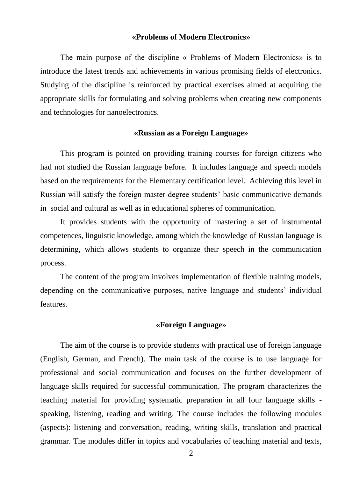#### **«Problems of Modern Electronics»**

The main purpose of the discipline « Problems of Modern Electronics» is to introduce the latest trends and achievements in various promising fields of electronics. Studying of the discipline is reinforced by practical exercises aimed at acquiring the appropriate skills for formulating and solving problems when creating new components and technologies for nanoelectronics.

#### **«Russian as a Foreign Language»**

This program is pointed on providing training courses for foreign citizens who had not studied the Russian language before. It includes language and speech models based on the requirements for the Еlementary certification level. Achieving this level in Russian will satisfy the foreign master degree students' basic communicative demands in social and cultural as well as in educational spheres of communication.

It provides students with the opportunity of mastering a set of instrumental competences, linguistic knowledge, among which the knowledge of Russian language is determining, which allows students to organize their speech in the communication process.

The content of the program involves implementation of flexible training models, depending on the communicative purposes, native language and students' individual features.

#### **«Foreign Language»**

The aim of the course is to provide students with practical use of foreign language (English, German, and French). The main task of the course is to use language for professional and social communication and focuses on the further development of language skills required for successful communication. The program characterizes the teaching material for providing systematic preparation in all four language skills speaking, listening, reading and writing. The course includes the following modules (aspects): listening and conversation, reading, writing skills, translation and practical grammar. The modules differ in topics and vocabularies of teaching material and texts,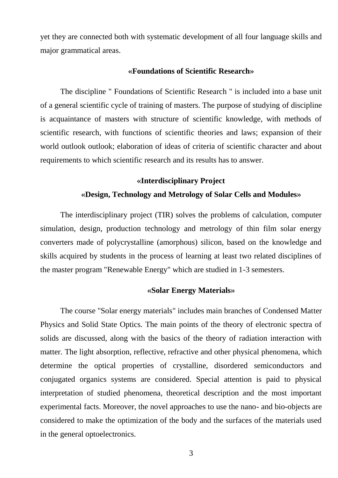yet they are connected both with systematic development of all four language skills and major grammatical areas.

#### **«Foundations of Scientific Research»**

The discipline " Foundations of Scientific Research " is included into a base unit of a general scientific cycle of training of masters. The purpose of studying of discipline is acquaintance of masters with structure of scientific knowledge, with methods of scientific research, with functions of scientific theories and laws; expansion of their world outlook outlook; elaboration of ideas of criteria of scientific character and about requirements to which scientific research and its results has to answer.

# **«Interdisciplinary Project «Design, Technology and Metrology of Solar Cells and Modules»**

The interdisciplinary project (TIR) solves the problems of calculation, computer simulation, design, production technology and metrology of thin film solar energy converters made of polycrystalline (amorphous) silicon, based on the knowledge and skills acquired by students in the process of learning at least two related disciplines of the master program "Renewable Energy" which are studied in 1-3 semesters.

#### **«Solar Energy Materials»**

The course "Solar energy materials" includes main branches of Condensed Matter Physics and Solid State Optics. The main points of the theory of electronic spectra of solids are discussed, along with the basics of the theory of radiation interaction with matter. The light absorption, reflective, refractive and other physical phenomena, which determine the optical properties of crystalline, disordered semiconductors and conjugated organics systems are considered. Special attention is paid to physical interpretation of studied phenomena, theoretical description and the most important experimental facts. Moreover, the novel approaches to use the nano- and bio-objects are considered to make the optimization of the body and the surfaces of the materials used in the general optoelectronics.

3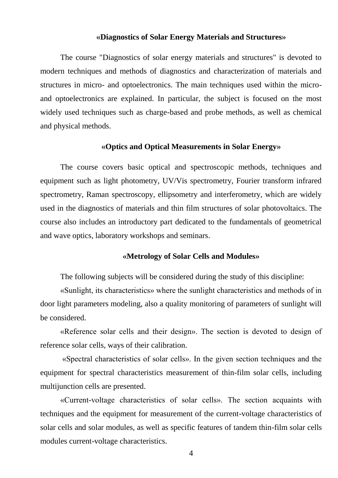#### **«Diagnostics of Solar Energy Materials and Structures»**

The course "Diagnostics of solar energy materials and structures" is devoted to modern techniques and methods of diagnostics and characterization of materials and structures in micro- and optoelectronics. The main techniques used within the microand optoelectronics are explained. In particular, the subject is focused on the most widely used techniques such as charge-based and probe methods, as well as chemical and physical methods.

#### **«Optics and Optical Measurements in Solar Energy»**

The course covers basic optical and spectroscopic methods, techniques and equipment such as light photometry, UV/Vis spectrometry, Fourier transform infrared spectrometry, Raman spectroscopy, ellipsometry and interferometry, which are widely used in the diagnostics of materials and thin film structures of solar photovoltaics. The course also includes an introductory part dedicated to the fundamentals of geometrical and wave optics, laboratory workshops and seminars.

#### **«Metrology of Solar Cells and Modules»**

The following subjects will be considered during the study of this discipline:

«Sunlight, its characteristics» where the sunlight characteristics and methods of in door light parameters modeling, also a quality monitoring of parameters of sunlight will be considered.

«Reference solar cells and their design». The section is devoted to design of reference solar cells, ways of their calibration.

«Spectral characteristics of solar cells». In the given section techniques and the equipment for spectral characteristics measurement of thin-film solar cells, including multijunction cells are presented.

«Current-voltage characteristics of solar cells». The section acquaints with techniques and the equipment for measurement of the current-voltage characteristics of solar cells and solar modules, as well as specific features of tandem thin-film solar cells modules current-voltage characteristics.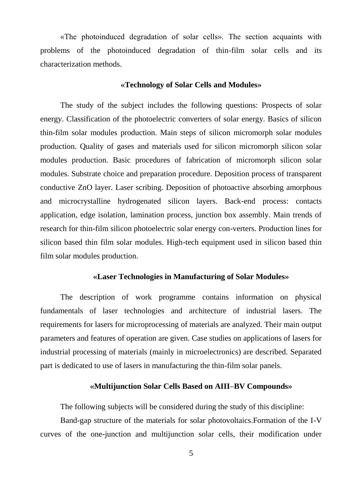«The photoinduced degradation of solar cells». The section acquaints with problems of the photoinduced degradation of thin-film solar cells and its characterization methods.

#### **«Technology of Solar Cells and Modules»**

The study of the subject includes the following questions: Prospects of solar energy. Classification of the photoelectric converters of solar energy. Basics of silicon thin-film solar modules production. Main steps of silicon micromorph solar modules production. Quality of gases and materials used for silicon micromorph silicon solar modules production. Basic procedures of fabrication of micromorph silicon solar modules. Substrate choice and preparation procedure. Deposition process of transparent conductive ZnO layer. Laser scribing. Deposition of photoactive absorbing amorphous and microcrystalline hydrogenated silicon layers. Back-end process: contacts application, edge isolation, lamination process, junction box assembly. Main trends of research for thin-film silicon photoelectric solar energy con-verters. Production lines for silicon based thin film solar modules. High-tech equipment used in silicon based thin film solar modules production.

#### **«Laser Technologies in Manufacturing of Solar Modules»**

The description of work programme contains information on physical fundamentals of laser technologies and architecture of industrial lasers. The requirements for lasers for microprocessing of materials are analyzed. Their main output parameters and features of operation are given. Case studies on applications of lasers for industrial processing of materials (mainly in microelectronics) are described. Separated part is dedicated to use of lasers in manufacturing the thin-film solar panels.

#### **«Multijunction Solar Cells Based on AIII–BV Compounds»**

The following subjects will be considered during the study of this discipline:

Band-gap structure of the materials for solar photovoltaics.Formation of the I-V curves of the one-junction and multijunction solar cells, their modification under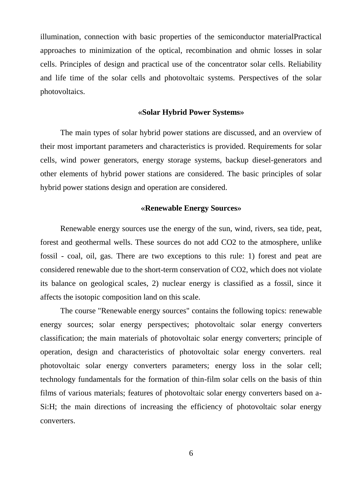illumination, connection with basic properties of the semiconductor materialPractical approaches to minimization of the optical, recombination and ohmic losses in solar cells. Principles of design and practical use of the concentrator solar cells. Reliability and life time of the solar cells and photovoltaic systems. Perspectives of the solar photovoltaics.

#### **«Solar Hybrid Power Systems»**

The main types of solar hybrid power stations are discussed, and an overview of their most important parameters and characteristics is provided. Requirements for solar cells, wind power generators, energy storage systems, backup diesel-generators and other elements of hybrid power stations are considered. The basic principles of solar hybrid power stations design and operation are considered.

#### **«Renewable Energy Sources»**

Renewable energy sources use the energy of the sun, wind, rivers, sea tide, peat, forest and geothermal wells. These sources do not add CO2 to the atmosphere, unlike fossil - coal, oil, gas. There are two exceptions to this rule: 1) forest and peat are considered renewable due to the short-term conservation of CO2, which does not violate its balance on geological scales, 2) nuclear energy is classified as a fossil, since it affects the isotopic composition land on this scale.

The course "Renewable energy sources" contains the following topics: renewable energy sources; solar energy perspectives; photovoltaic solar energy converters classification; the main materials of photovoltaic solar energy converters; principle of operation, design and characteristics of photovoltaic solar energy converters. real photovoltaic solar energy converters parameters; energy loss in the solar cell; technology fundamentals for the formation of thin-film solar cells on the basis of thin films of various materials; features of photovoltaic solar energy converters based on a-Si:H; the main directions of increasing the efficiency of photovoltaic solar energy converters.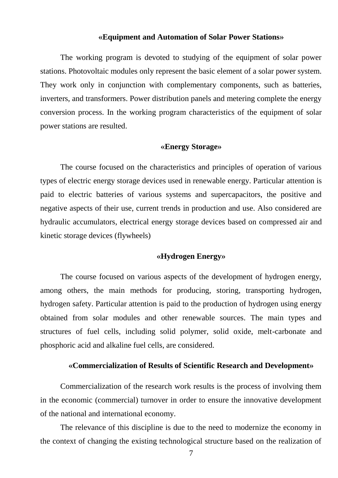#### **«Equipment and Automation of Solar Power Stations»**

The working program is devoted to studying of the equipment of solar power stations. Photovoltaic modules only represent the basic element of a solar power system. They work only in conjunction with complementary components, such as batteries, inverters, and transformers. Power distribution panels and metering complete the energy conversion process. In the working program characteristics of the equipment of solar power stations are resulted.

#### **«Energy Storage»**

The course focused on the characteristics and principles of operation of various types of electric energy storage devices used in renewable energy. Particular attention is paid to electric batteries of various systems and supercapacitors, the positive and negative aspects of their use, current trends in production and use. Also considered are hydraulic accumulators, electrical energy storage devices based on compressed air and kinetic storage devices (flywheels)

#### **«Hydrogen Energy»**

The course focused on various aspects of the development of hydrogen energy, among others, the main methods for producing, storing, transporting hydrogen, hydrogen safety. Particular attention is paid to the production of hydrogen using energy obtained from solar modules and other renewable sources. The main types and structures of fuel cells, including solid polymer, solid oxide, melt-carbonate and phosphoric acid and alkaline fuel cells, are considered.

#### **«Commercialization of Results of Scientific Research and Development»**

Commercialization of the research work results is the process of involving them in the economic (commercial) turnover in order to ensure the innovative development of the national and international economy.

The relevance of this discipline is due to the need to modernize the economy in the context of changing the existing technological structure based on the realization of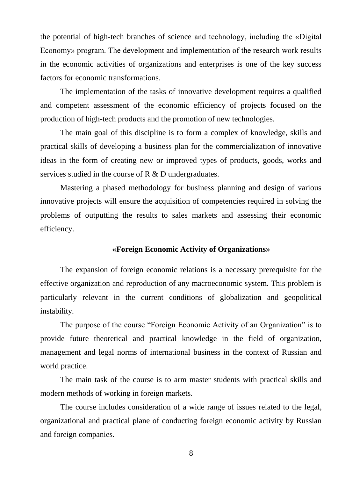the potential of high-tech branches of science and technology, including the «Digital Economy» program. The development and implementation of the research work results in the economic activities of organizations and enterprises is one of the key success factors for economic transformations.

The implementation of the tasks of innovative development requires a qualified and competent assessment of the economic efficiency of projects focused on the production of high-tech products and the promotion of new technologies.

The main goal of this discipline is to form a complex of knowledge, skills and practical skills of developing a business plan for the commercialization of innovative ideas in the form of creating new or improved types of products, goods, works and services studied in the course of R & D undergraduates.

Mastering a phased methodology for business planning and design of various innovative projects will ensure the acquisition of competencies required in solving the problems of outputting the results to sales markets and assessing their economic efficiency.

## **«Foreign Economic Activity of Organizations»**

The expansion of foreign economic relations is a necessary prerequisite for the effective organization and reproduction of any macroeconomic system. This problem is particularly relevant in the current conditions of globalization and geopolitical instability.

The purpose of the course "Foreign Economic Activity of an Organization" is to provide future theoretical and practical knowledge in the field of organization, management and legal norms of international business in the context of Russian and world practice.

The main task of the course is to arm master students with practical skills and modern methods of working in foreign markets.

The course includes consideration of a wide range of issues related to the legal, organizational and practical plane of conducting foreign economic activity by Russian and foreign companies.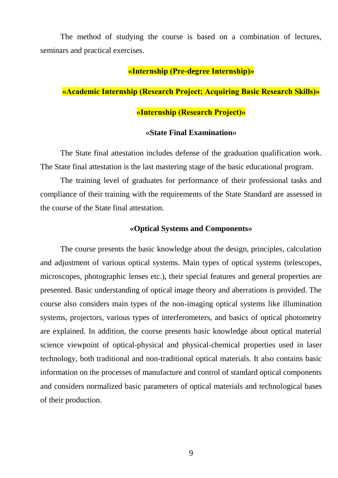The method of studying the course is based on a combination of lectures, seminars and practical exercises.

# **«Internship (Pre-degree Internship)»**

# **«Academic Internship (Research Project; Acquiring Basic Research Skills)»**

# **«Internship (Research Project)»**

## **«State Final Examination»**

The State final attestation includes defense of the graduation qualification work. The State final attestation is the last mastering stage of the basic educational program.

The training level of graduates for performance of their professional tasks and compliance of their training with the requirements of the State Standard are assessed in the course of the State final attestation.

#### **«Optical Systems and Components»**

The course presents the basic knowledge about the design, principles, calculation and adjustment of various optical systems. Main types of optical systems (telescopes, microscopes, photographic lenses etc.), their special features and general properties are presented. Basic understanding of optical image theory and aberrations is provided. The course also considers main types of the non-imaging optical systems like illumination systems, projectors, various types of interferometers, and basics of optical photometry are explained. In addition, the course presents basic knowledge about optical material science viewpoint of optical-physical and physical-chemical properties used in laser technology, both traditional and non-traditional optical materials. It also contains basic information on the processes of manufacture and control of standard optical components and considers normalized basic parameters of optical materials and technological bases of their production.